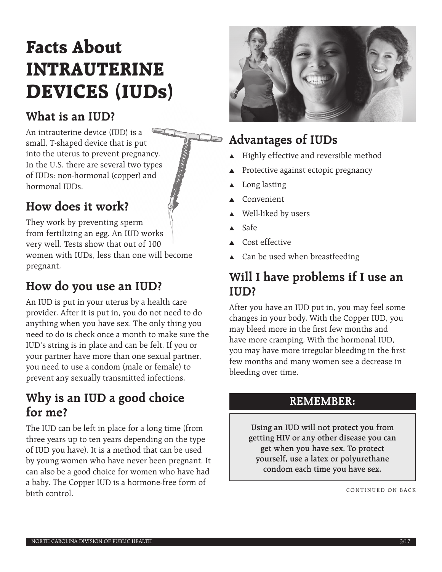# **Facts About INTRAUTERINE DEVICES (IUDs)**

### **What is an IUD?**

An intrauterine device (IUD) is a small, T-shaped device that is put into the uterus to prevent pregnancy. In the U.S. there are several two types of IUDs: non-hormonal (copper) and hormonal IUDs.

# **How does it work?**

They work by preventing sperm from fertilizing an egg. An IUD works very well. Tests show that out of 100 women with IUDs, less than one will become pregnant.

# **How do you use an IUD?**

An IUD is put in your uterus by a health care provider. After it is put in, you do not need to do anything when you have sex. The only thing you need to do is check once a month to make sure the IUD's string is in place and can be felt. If you or your partner have more than one sexual partner, you need to use a condom (male or female) to prevent any sexually transmitted infections.

#### **Why is an IUD a good choice for me?**

The IUD can be left in place for a long time (from three years up to ten years depending on the type of IUD you have). It is a method that can be used by young women who have never been pregnant. It can also be a good choice for women who have had a baby. The Copper IUD is a hormone-free form of birth control.



# **Advantages of IUDs**

- $\blacktriangle$  Highly effective and reversible method
- Protective against ectopic pregnancy
- Long lasting
- Convenient
- $\triangle$  Well-liked by users
- $\triangle$  Safe
- $\triangle$  Cost effective
- $\triangle$  Can be used when breastfeeding

### **Will I have problems if I use an IUD?**

After you have an IUD put in, you may feel some changes in your body. With the Copper IUD, you may bleed more in the first few months and have more cramping. With the hormonal IUD, you may have more irregular bleeding in the first few months and many women see a decrease in bleeding over time.

#### **REMEMBER:**

**Using an IUD will not protect you from getting HIV or any other disease you can get when you have sex. To protect yourself, use a latex or polyurethane condom each time you have sex.**

CONTINUED ON BACK